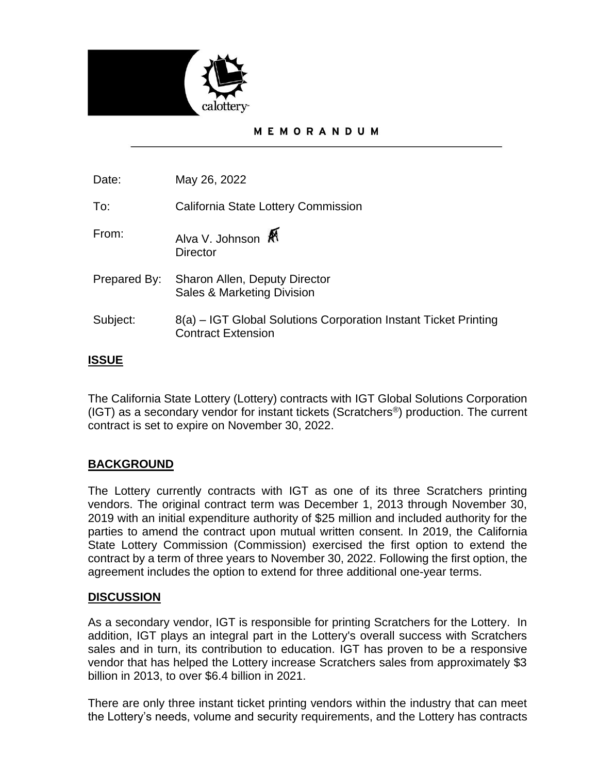

#### MEMORANDUM

Date: May 26, 2022

To: California State Lottery Commission

- From: Alva V. Johnson **Director**
- Prepared By: Sharon Allen, Deputy Director Sales & Marketing Division
- Subject: 8(a) – IGT Global Solutions Corporation Instant Ticket Printing Contract Extension

## **ISSUE**

The California State Lottery (Lottery) contracts with IGT Global Solutions Corporation (IGT) as a secondary vendor for instant tickets (Scratchers®) production. The current contract is set to expire on November 30, 2022.

### **BACKGROUND**

The Lottery currently contracts with IGT as one of its three Scratchers printing vendors. The original contract term was December 1, 2013 through November 30, 2019 with an initial expenditure authority of \$25 million and included authority for the parties to amend the contract upon mutual written consent. In 2019, the California State Lottery Commission (Commission) exercised the first option to extend the contract by a term of three years to November 30, 2022. Following the first option, the agreement includes the option to extend for three additional one-year terms.

### **DISCUSSION**

As a secondary vendor, IGT is responsible for printing Scratchers for the Lottery. In addition, IGT plays an integral part in the Lottery's overall success with Scratchers sales and in turn, its contribution to education. IGT has proven to be a responsive vendor that has helped the Lottery increase Scratchers sales from approximately \$3 billion in 2013, to over \$6.4 billion in 2021.

There are only three instant ticket printing vendors within the industry that can meet the Lottery's needs, volume and security requirements, and the Lottery has contracts